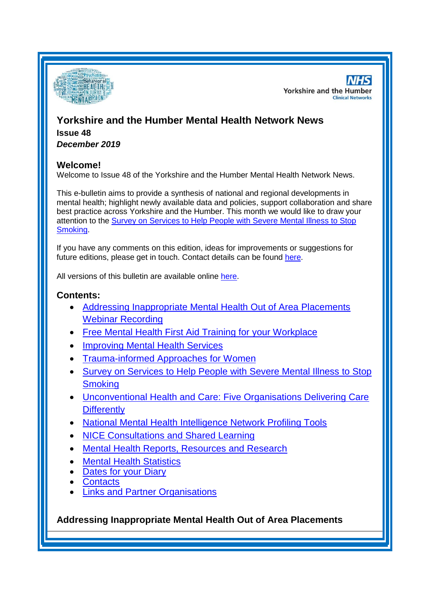

**NHS Yorkshire and the Humber Clinical Networks** 

# **Yorkshire and the Humber Mental Health Network News Issue 48** *December 2019*

#### **Welcome!**

Welcome to Issue 48 of the Yorkshire and the Humber Mental Health Network News.

This e-bulletin aims to provide a synthesis of national and regional developments in mental health; highlight newly available data and policies, support collaboration and share best practice across Yorkshire and the Humber. This month we would like to draw your attention to the [Survey on Services to Help People with Severe Mental Illness to Stop](#page-1-0)  [Smoking.](#page-1-0)

If you have any comments on this edition, ideas for improvements or suggestions for future editions, please get in touch. Contact details can be found [here.](#page-4-0)

All versions of this bulletin are available online [here.](http://www.yhscn.nhs.uk/mental-health-clinic/mental-health-network/MH-documents-and-links.php)

## **Contents:**

- [Addressing Inappropriate Mental Health Out of Area Placements](#page-0-0)  [Webinar Recording](#page-0-0)
- [Free Mental Health First Aid Training for your Workplace](#page-1-1)
- [Improving Mental Health Services](#page-1-2)
- [Trauma-informed Approaches for Women](#page-1-3)
- Survey on Services to Help People with Severe Mental Illness to Stop **[Smoking](#page-1-0)**
- [Unconventional Health and Care: Five Organisations Delivering Care](#page-1-4)  **[Differently](#page-1-4)**
- [National Mental Health Intelligence Network Profiling Tools](#page-0-1)
- [NICE Consultations and Shared Learning](#page-2-0)
- [Mental Health Reports, Resources and Research](#page-2-1)
- **[Mental Health Statistics](#page-3-0)**
- **[Dates for your Diary](#page-3-1)**
- **[Contacts](#page-4-0)**
- [Links and Partner Organisations](#page-4-1)

<span id="page-0-1"></span><span id="page-0-0"></span>**Addressing Inappropriate Mental Health Out of Area Placements**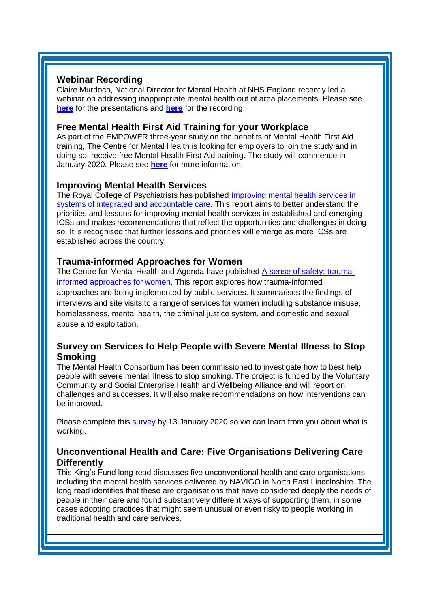#### **Webinar Recording**

Claire Murdoch, National Director for Mental Health at NHS England recently led a webinar on addressing inappropriate mental health out of area placements. Please see **[here](http://www.yhscn.nhs.uk/media/PDFs/MH%20North/OAPs%20slides%20national%20webinar%20v.0.5.pdf)** for the presentations and **[here](https://healthsector.webex.com/recordingservice/sites/healthsector/recording/playback/2374d2b19b2f4662b3364415b9bd8fdb)** for the recording.

#### <span id="page-1-1"></span>**Free Mental Health First Aid Training for your Workplace**

As part of the EMPOWER three-year study on the benefits of Mental Health First Aid training, The Centre for Mental Health is looking for employers to join the study and in doing so, receive free Mental Health First Aid training. The study will commence in January 2020. Please see **[here](https://www.centreformentalhealth.org.uk/free-mental-health-first-aid-training-your-workplace)** for more information.

## <span id="page-1-2"></span>**Improving Mental Health Services**

The Royal College of Psychiatrists has published [Improving mental health services in](https://www.rcpsych.ac.uk/improving-care/campaigning-for-better-mental-health-policy/sustainability-and-transformation-partnerships-and-integrated-care-systems)  [systems of integrated and accountable care.](https://www.rcpsych.ac.uk/improving-care/campaigning-for-better-mental-health-policy/sustainability-and-transformation-partnerships-and-integrated-care-systems) This report aims to better understand the priorities and lessons for improving mental health services in established and emerging ICSs and makes recommendations that reflect the opportunities and challenges in doing so. It is recognised that further lessons and priorities will emerge as more ICSs are established across the country.

## <span id="page-1-3"></span>**Trauma-informed Approaches for Women**

The Centre for Mental Health and Agenda have published [A sense of safety: trauma](https://www.centreformentalhealth.org.uk/sense-of-safety)[informed approaches for women.](https://www.centreformentalhealth.org.uk/sense-of-safety) This report explores how trauma-informed approaches are being implemented by public services. It summarises the findings of interviews and site visits to a range of services for women including substance misuse, homelessness, mental health, the criminal justice system, and domestic and sexual abuse and exploitation.

## <span id="page-1-0"></span>**Survey on Services to Help People with Severe Mental Illness to Stop Smoking**

The Mental Health Consortium has been commissioned to investigate how to best help people with severe mental illness to stop smoking. The project is funded by the Voluntary Community and Social Enterprise Health and Wellbeing Alliance and will report on challenges and successes. It will also make recommendations on how interventions can be improved.

Please complete this [survey](https://www.surveymonkey.co.uk/r/WorkInServicesHelpingPeopleWithSMI) by 13 January 2020 so we can learn from you about what is working.

#### <span id="page-1-4"></span>**Unconventional Health and Care: Five Organisations Delivering Care Differently**

This King's Fund long read discusses five unconventional health and care organisations; including the mental health services delivered by NAVIGO in North East Lincolnshire. The long read identifies that these are organisations that have considered deeply the needs of people in their care and found substantively different ways of supporting them, in some cases adopting practices that might seem unusual or even risky to people working in traditional health and care services.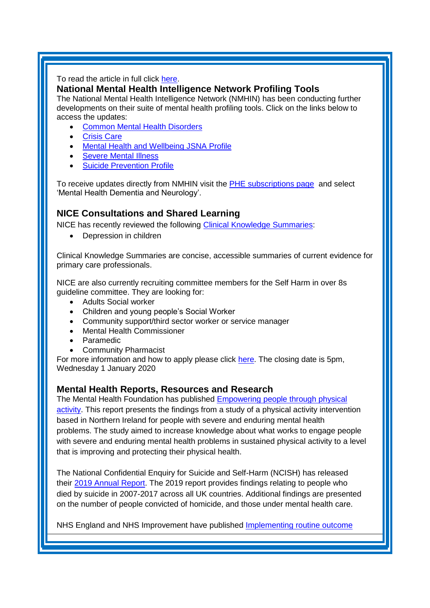#### To read the article in full click [here.](https://www.kingsfund.org.uk/publications/unconventional-health-care?utm_source=twitter&utm_medium=social&utm_term=thekingsfund)

### **National Mental Health Intelligence Network Profiling Tools**

The National Mental Health Intelligence Network (NMHIN) has been conducting further developments on their suite of mental health profiling tools. Click on the links below to access the updates:

- [Common Mental Health Disorders](http://links.govdelivery.com/track?type=click&enid=ZWFzPTEmbXNpZD0mYXVpZD0mbWFpbGluZ2lkPTIwMTcxMjA1LjgxOTE2MDgxJm1lc3NhZ2VpZD1NREItUFJELUJVTC0yMDE3MTIwNS44MTkxNjA4MSZkYXRhYmFzZWlkPTEwMDEmc2VyaWFsPTE2OTcwMTE4JmVtYWlsaWQ9c2FyYWguYm91bEBuaHMubmV0JnVzZXJpZD1zYXJhaC5ib3VsQG5ocy5uZXQmdGFyZ2V0aWQ9JmZsPSZleHRyYT1NdWx0aXZhcmlhdGVJZD0mJiY=&&&104&&&https://fingertips.phe.org.uk/profile-group/mental-health/profile/common-mental-disorders)
- **[Crisis Care](http://links.govdelivery.com/track?type=click&enid=ZWFzPTEmbXNpZD0mYXVpZD0mbWFpbGluZ2lkPTIwMTcxMjA1LjgxOTE2MDgxJm1lc3NhZ2VpZD1NREItUFJELUJVTC0yMDE3MTIwNS44MTkxNjA4MSZkYXRhYmFzZWlkPTEwMDEmc2VyaWFsPTE2OTcwMTE4JmVtYWlsaWQ9c2FyYWguYm91bEBuaHMubmV0JnVzZXJpZD1zYXJhaC5ib3VsQG5ocy5uZXQmdGFyZ2V0aWQ9JmZsPSZleHRyYT1NdWx0aXZhcmlhdGVJZD0mJiY=&&&105&&&https://fingertips.phe.org.uk/profile-group/mental-health/profile/crisis-care)**
- [Mental Health and Wellbeing JSNA Profile](http://links.govdelivery.com/track?type=click&enid=ZWFzPTEmbXNpZD0mYXVpZD0mbWFpbGluZ2lkPTIwMTcxMjA1LjgxOTE2MDgxJm1lc3NhZ2VpZD1NREItUFJELUJVTC0yMDE3MTIwNS44MTkxNjA4MSZkYXRhYmFzZWlkPTEwMDEmc2VyaWFsPTE2OTcwMTE4JmVtYWlsaWQ9c2FyYWguYm91bEBuaHMubmV0JnVzZXJpZD1zYXJhaC5ib3VsQG5ocy5uZXQmdGFyZ2V0aWQ9JmZsPSZleHRyYT1NdWx0aXZhcmlhdGVJZD0mJiY=&&&106&&&https://fingertips.phe.org.uk/profile-group/mental-health/profile/mh-jsna)
- [Severe Mental](http://links.govdelivery.com/track?type=click&enid=ZWFzPTEmbXNpZD0mYXVpZD0mbWFpbGluZ2lkPTIwMTcxMjA1LjgxOTE2MDgxJm1lc3NhZ2VpZD1NREItUFJELUJVTC0yMDE3MTIwNS44MTkxNjA4MSZkYXRhYmFzZWlkPTEwMDEmc2VyaWFsPTE2OTcwMTE4JmVtYWlsaWQ9c2FyYWguYm91bEBuaHMubmV0JnVzZXJpZD1zYXJhaC5ib3VsQG5ocy5uZXQmdGFyZ2V0aWQ9JmZsPSZleHRyYT1NdWx0aXZhcmlhdGVJZD0mJiY=&&&108&&&https://fingertips.phe.org.uk/profile-group/mental-health/profile/severe-mental-illness) Illness
- **[Suicide Prevention Profile](http://links.govdelivery.com/track?type=click&enid=ZWFzPTEmbXNpZD0mYXVpZD0mbWFpbGluZ2lkPTIwMTgwNjA1LjkwNzEwNzExJm1lc3NhZ2VpZD1NREItUFJELUJVTC0yMDE4MDYwNS45MDcxMDcxMSZkYXRhYmFzZWlkPTEwMDEmc2VyaWFsPTE3MDEzODU4JmVtYWlsaWQ9c2FyYWguYm91bEBuaHMubmV0JnVzZXJpZD1zYXJhaC5ib3VsQG5ocy5uZXQmdGFyZ2V0aWQ9JmZsPSZleHRyYT1NdWx0aXZhcmlhdGVJZD0mJiY=&&&104&&&https://fingertips.phe.org.uk/profile-group/mental-health/profile/suicide)**

To receive updates directly from NMHIN visit the **PHE subscriptions page** and select 'Mental Health Dementia and Neurology'.

# <span id="page-2-1"></span><span id="page-2-0"></span>**NICE Consultations and Shared Learning**

NICE has recently reviewed the following [Clinical Knowledge](https://cks.nice.org.uk/whatsnew) Summaries:

• Depression in children

Clinical Knowledge Summaries are concise, accessible summaries of current evidence for primary care professionals.

NICE are also currently recruiting committee members for the Self Harm in over 8s guideline committee. They are looking for:

- Adults Social worker
- Children and young people's Social Worker
- Community support/third sector worker or service manager
- Mental Health Commissioner
- Paramedic
- Community Pharmacist

For more information and how to apply please click [here.](https://nspa.us8.list-manage.com/track/click?u=3b9d37afc66a3c40959560ed5&id=1d16eaffe6&e=4c3a1443f0) The closing date is 5pm, Wednesday 1 January 2020

## **Mental Health Reports, Resources and Research**

The Mental Health Foundation has published [Empowering people through physical](https://www.mentalhealth.org.uk/publications/empowering-people-through-physical-activity)  [activity.](https://www.mentalhealth.org.uk/publications/empowering-people-through-physical-activity) This report presents the findings from a study of a physical activity intervention based in Northern Ireland for people with severe and enduring mental health problems. The study aimed to increase knowledge about what works to engage people with severe and enduring mental health problems in sustained physical activity to a level that is improving and protecting their physical health.

The National Confidential Enquiry for Suicide and Self-Harm (NCISH) has released their [2019 Annual Report.](https://sites.manchester.ac.uk/ncish/reports/annual-report-2019-england-northern-ireland-scotland-and-wales/) The 2019 report provides findings relating to people who died by suicide in 2007-2017 across all UK countries. Additional findings are presented on the number of people convicted of homicide, and those under mental health care.

NHS England and NHS Improvement have published [Implementing routine outcome](https://www.england.nhs.uk/publication/implementing-routine-outcome-monitoring-in-specialist-mental-health-services/)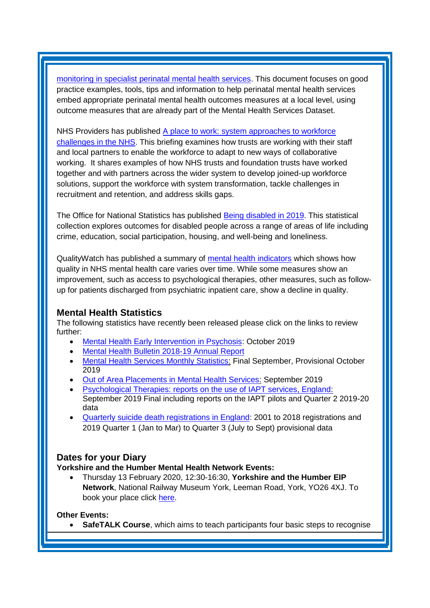[monitoring in specialist perinatal mental health services.](https://www.england.nhs.uk/publication/implementing-routine-outcome-monitoring-in-specialist-mental-health-services/) This document focuses on good practice examples, tools, tips and information to help perinatal mental health services embed appropriate perinatal mental health outcomes measures at a local level, using outcome measures that are already part of the Mental Health Services Dataset.

NHS Providers has published [A place to work: system approaches to workforce](https://nhsproviders.org/a-place-to-work)  [challenges in the NHS.](https://nhsproviders.org/a-place-to-work) This briefing examines how trusts are working with their staff and local partners to enable the workforce to adapt to new ways of collaborative working. It shares examples of how NHS trusts and foundation trusts have worked together and with partners across the wider system to develop joined-up workforce solutions, support the workforce with system transformation, tackle challenges in recruitment and retention, and address skills gaps.

The Office for National Statistics has published [Being disabled in 2019.](https://www.ons.gov.uk/releases/beingdisabledin2019) This statistical collection explores outcomes for disabled people across a range of areas of life including crime, education, social participation, housing, and well-being and loneliness.

QualityWatch has published a summary of [mental health indicators](https://www.nuffieldtrust.org.uk/news-item/mental-health-1) which shows how quality in NHS mental health care varies over time. While some measures show an improvement, such as access to psychological therapies, other measures, such as followup for patients discharged from psychiatric inpatient care, show a decline in quality.

#### <span id="page-3-0"></span>**Mental Health Statistics**

The following statistics have recently been released please click on the links to review further:

- <span id="page-3-1"></span>• [Mental Health Early Intervention in Psychosis:](https://www.gov.uk/government/statistics/mental-health-early-intervention-in-psychosis-for-october-2019) October 2019
- [Mental Health Bulletin 2018-19 Annual Report](https://digital.nhs.uk/data-and-information/publications/statistical/mental-health-bulletin/2018-19-annual-report)
- [Mental Health Services Monthly Statistics:](https://digital.nhs.uk/data-and-information/publications/statistical/mental-health-services-monthly-statistics/final-september-provisional-october-2019) Final September, Provisional October 2019
- [Out of Area Placements in Mental Health Services:](https://digital.nhs.uk/data-and-information/publications/statistical/out-of-area-placements-in-mental-health-services/september-2019) September 2019
- [Psychological Therapies: reports on the use of IAPT services, England:](https://digital.nhs.uk/data-and-information/publications/statistical/psychological-therapies-report-on-the-use-of-iapt-services/september-2019-final-including-reports-on-the-iapt-pilots-and-quarter-2-2019-20-data) September 2019 Final including reports on the IAPT pilots and Quarter 2 2019-20 data
- [Quarterly suicide death registrations in England:](https://www.gov.uk/government/statistics/quarterly-suicide-death-registrations-in-england-2001-to-2018-registrations-and-2019-quarter-1-jan-to-mar-to-quarter-3-july-to-sept-provisional-d) 2001 to 2018 registrations and 2019 Quarter 1 (Jan to Mar) to Quarter 3 (July to Sept) provisional data

## **Dates for your Diary**

#### **Yorkshire and the Humber Mental Health Network Events:**

• Thursday 13 February 2020, 12:30-16:30, **Yorkshire and the Humber EIP Network**, National Railway Museum York, Leeman Road, York, YO26 4XJ. To book your place click [here.](https://www.eventbrite.co.uk/e/north-east-and-yorkshire-and-the-humber-eip-network-tickets-82827720943)

#### **Other Events:**

• **SafeTALK Course**, which aims to teach participants four basic steps to recognise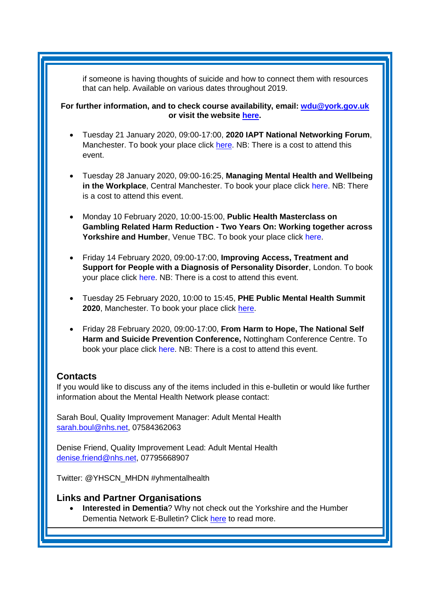if someone is having thoughts of suicide and how to connect them with resources that can help. Available on various dates throughout 2019.

**For further information, and to check course availability, email: [wdu@york.gov.uk](mailto:wdu@york.gov.uk) or visit the website [here.](http://www.yorkworkforcedevelopment.org.uk/)**

- Tuesday 21 January 2020, 09:00-17:00, **2020 IAPT National Networking Forum**, Manchester. To book your place click [here.](http://www.iapt-nnf.co.uk/Home/ViewEvent/127) NB: There is a cost to attend this event.
- Tuesday 28 January 2020, 09:00-16:25, **Managing Mental Health and Wellbeing in the Workplace**, Central Manchester. To book your place click [here.](https://nhs-insight.com/booking/3436/VPWX1O-1900096) NB: There is a cost to attend this event.
- Monday 10 February 2020, 10:00-15:00, **Public Health Masterclass on Gambling Related Harm Reduction - Two Years On: Working together across Yorkshire and Humber**, Venue TBC. To book your place click [here.](https://www.eventbrite.co.uk/e/public-health-masterclass-on-gambling-related-harm-reduction-2-years-on-tickets-82790248863)
- Friday 14 February 2020, 09:00-17:00, **Improving Access, Treatment and Support for People with a Diagnosis of Personality Disorder**, London. To book your place click [here.](https://www.healthcareconferencesuk.co.uk/conferences-masterclasses/personality-disorder?utm_medium=email&utm_source=HCUKKT%20&utm_campaign=Personality%200220) NB: There is a cost to attend this event.
- Tuesday 25 February 2020, 10:00 to 15:45, **PHE Public Mental Health Summit**  2020, Manchester. To book your place click [here.](https://www.phe-events.org.uk/hpa/frontend/reg/thome.csp?pageID=377038&eventID=867&msID=10750&pd=102885&CSPCHD=003001000000HPccL25QW2QABU8dxxsQ0$8AqpJdWQcaodjkL4)
- Friday 28 February 2020, 09:00-17:00, **From Harm to Hope, The National Self Harm and Suicide Prevention Conference,** Nottingham Conference Centre. To book your place click [here.](http://www.harmless.org.uk/store/index.php?route=product/product&product_id=143) NB: There is a cost to attend this event.

## <span id="page-4-0"></span>**Contacts**

If you would like to discuss any of the items included in this e-bulletin or would like further information about the Mental Health Network please contact:

Sarah Boul, Quality Improvement Manager: Adult Mental Health [sarah.boul@nhs.net,](mailto:sarah.boul@nhs.net) 07584362063

Denise Friend, Quality Improvement Lead: Adult Mental Health denise.friend@nhs.net, 07795668907

Twitter: @YHSCN\_MHDN #yhmentalhealth

#### <span id="page-4-1"></span>**Links and Partner Organisations**

• **Interested in Dementia**? Why not check out the Yorkshire and the Humber Dementia Network E-Bulletin? Click [here](http://www.yhscn.nhs.uk/mental-health-clinic/Dementia/YHSCNDementiaBulletin.php) to read more.